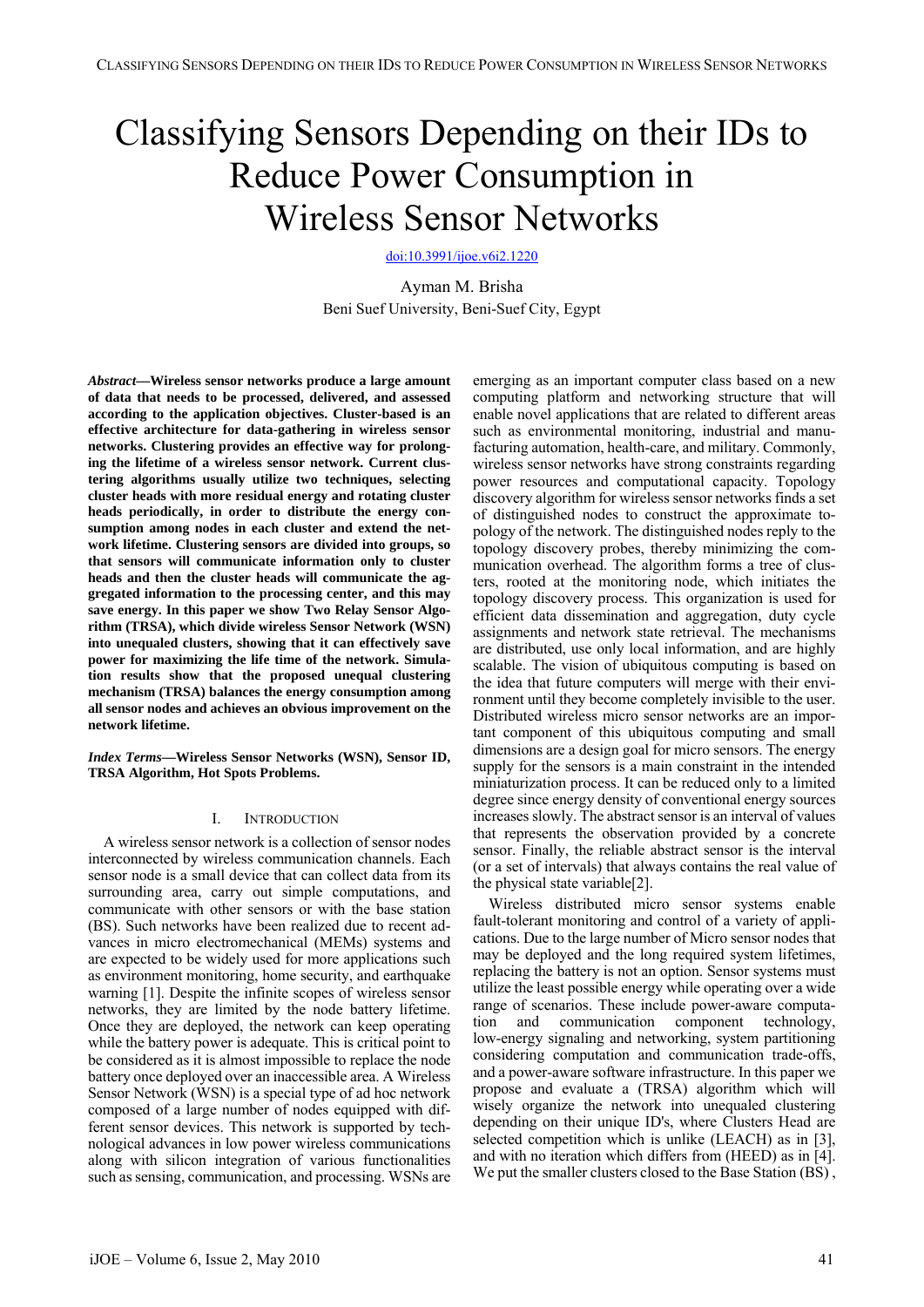# Classifying Sensors Depending on their IDs to Reduce Power Consumption in Wireless Sensor Networks

[doi:10.3991/ijoe.v6i2.1220](http://dx.doi.org/ijoe.v6i2.1220)

Ayman M. Brisha Beni Suef University, Beni-Suef City, Egypt

*Abstract***—Wireless sensor networks produce a large amount of data that needs to be processed, delivered, and assessed according to the application objectives. Cluster-based is an effective architecture for data-gathering in wireless sensor networks. Clustering provides an effective way for prolonging the lifetime of a wireless sensor network. Current clustering algorithms usually utilize two techniques, selecting cluster heads with more residual energy and rotating cluster heads periodically, in order to distribute the energy consumption among nodes in each cluster and extend the network lifetime. Clustering sensors are divided into groups, so that sensors will communicate information only to cluster heads and then the cluster heads will communicate the aggregated information to the processing center, and this may save energy. In this paper we show Two Relay Sensor Algorithm (TRSA), which divide wireless Sensor Network (WSN) into unequaled clusters, showing that it can effectively save power for maximizing the life time of the network. Simulation results show that the proposed unequal clustering mechanism (TRSA) balances the energy consumption among all sensor nodes and achieves an obvious improvement on the network lifetime.** 

*Index Terms***—Wireless Sensor Networks (WSN), Sensor ID, TRSA Algorithm, Hot Spots Problems.** 

# I. INTRODUCTION

A wireless sensor network is a collection of sensor nodes interconnected by wireless communication channels. Each sensor node is a small device that can collect data from its surrounding area, carry out simple computations, and communicate with other sensors or with the base station (BS). Such networks have been realized due to recent advances in micro electromechanical (MEMs) systems and are expected to be widely used for more applications such as environment monitoring, home security, and earthquake warning [1]. Despite the infinite scopes of wireless sensor networks, they are limited by the node battery lifetime. Once they are deployed, the network can keep operating while the battery power is adequate. This is critical point to be considered as it is almost impossible to replace the node battery once deployed over an inaccessible area. A Wireless Sensor Network (WSN) is a special type of ad hoc network composed of a large number of nodes equipped with different sensor devices. This network is supported by technological advances in low power wireless communications along with silicon integration of various functionalities such as sensing, communication, and processing. WSNs are

emerging as an important computer class based on a new computing platform and networking structure that will enable novel applications that are related to different areas such as environmental monitoring, industrial and manufacturing automation, health-care, and military. Commonly, wireless sensor networks have strong constraints regarding power resources and computational capacity. Topology discovery algorithm for wireless sensor networks finds a set of distinguished nodes to construct the approximate topology of the network. The distinguished nodes reply to the topology discovery probes, thereby minimizing the communication overhead. The algorithm forms a tree of clusters, rooted at the monitoring node, which initiates the topology discovery process. This organization is used for efficient data dissemination and aggregation, duty cycle assignments and network state retrieval. The mechanisms are distributed, use only local information, and are highly scalable. The vision of ubiquitous computing is based on the idea that future computers will merge with their environment until they become completely invisible to the user. Distributed wireless micro sensor networks are an important component of this ubiquitous computing and small dimensions are a design goal for micro sensors. The energy supply for the sensors is a main constraint in the intended miniaturization process. It can be reduced only to a limited degree since energy density of conventional energy sources increases slowly. The abstract sensor is an interval of values that represents the observation provided by a concrete sensor. Finally, the reliable abstract sensor is the interval (or a set of intervals) that always contains the real value of the physical state variable[2].

Wireless distributed micro sensor systems enable fault-tolerant monitoring and control of a variety of applications. Due to the large number of Micro sensor nodes that may be deployed and the long required system lifetimes, replacing the battery is not an option. Sensor systems must utilize the least possible energy while operating over a wide range of scenarios. These include power-aware computation and communication component technology, low-energy signaling and networking, system partitioning considering computation and communication trade-offs, and a power-aware software infrastructure. In this paper we propose and evaluate a (TRSA) algorithm which will wisely organize the network into unequaled clustering depending on their unique ID's, where Clusters Head are selected competition which is unlike (LEACH) as in [3], and with no iteration which differs from (HEED) as in [4]. We put the smaller clusters closed to the Base Station (BS),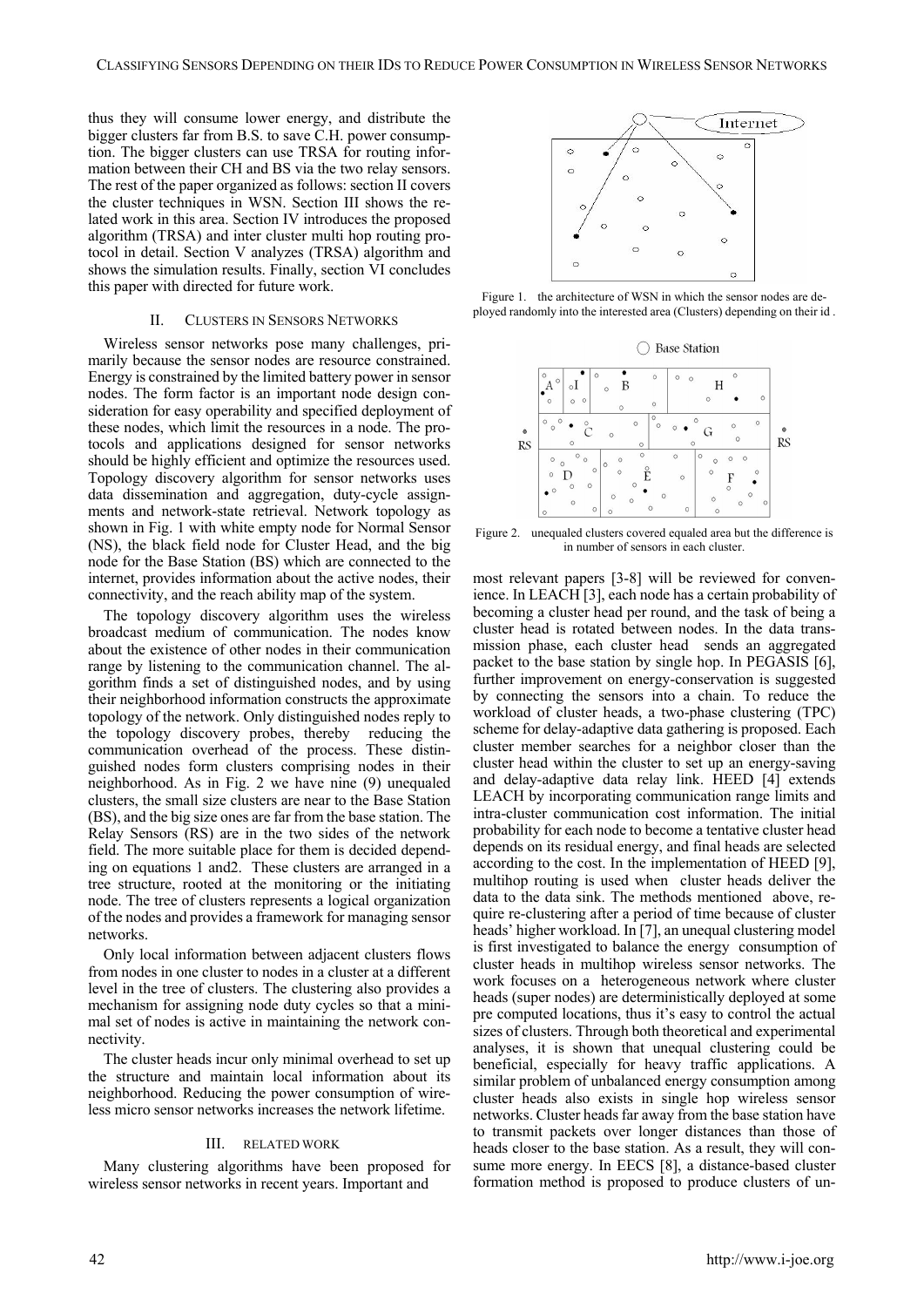thus they will consume lower energy, and distribute the bigger clusters far from B.S. to save C.H. power consumption. The bigger clusters can use TRSA for routing information between their CH and BS via the two relay sensors. The rest of the paper organized as follows: section II covers the cluster techniques in WSN. Section III shows the related work in this area. Section IV introduces the proposed algorithm (TRSA) and inter cluster multi hop routing protocol in detail. Section V analyzes (TRSA) algorithm and shows the simulation results. Finally, section VI concludes this paper with directed for future work.

## II. CLUSTERS IN SENSORS NETWORKS

Wireless sensor networks pose many challenges, primarily because the sensor nodes are resource constrained. Energy is constrained by the limited battery power in sensor nodes. The form factor is an important node design consideration for easy operability and specified deployment of these nodes, which limit the resources in a node. The protocols and applications designed for sensor networks should be highly efficient and optimize the resources used. Topology discovery algorithm for sensor networks uses data dissemination and aggregation, duty-cycle assignments and network-state retrieval. Network topology as shown in Fig. 1 with white empty node for Normal Sensor (NS), the black field node for Cluster Head, and the big node for the Base Station (BS) which are connected to the internet, provides information about the active nodes, their connectivity, and the reach ability map of the system.

The topology discovery algorithm uses the wireless broadcast medium of communication. The nodes know about the existence of other nodes in their communication range by listening to the communication channel. The algorithm finds a set of distinguished nodes, and by using their neighborhood information constructs the approximate topology of the network. Only distinguished nodes reply to the topology discovery probes, thereby reducing the communication overhead of the process. These distinguished nodes form clusters comprising nodes in their neighborhood. As in Fig. 2 we have nine (9) unequaled clusters, the small size clusters are near to the Base Station (BS), and the big size ones are far from the base station. The Relay Sensors (RS) are in the two sides of the network field. The more suitable place for them is decided depending on equations 1 and2. These clusters are arranged in a tree structure, rooted at the monitoring or the initiating node. The tree of clusters represents a logical organization of the nodes and provides a framework for managing sensor networks.

Only local information between adjacent clusters flows from nodes in one cluster to nodes in a cluster at a different level in the tree of clusters. The clustering also provides a mechanism for assigning node duty cycles so that a minimal set of nodes is active in maintaining the network connectivity.

The cluster heads incur only minimal overhead to set up the structure and maintain local information about its neighborhood. Reducing the power consumption of wireless micro sensor networks increases the network lifetime.

#### III. RELATED WORK

Many clustering algorithms have been proposed for wireless sensor networks in recent years. Important and



Figure 1. the architecture of WSN in which the sensor nodes are deployed randomly into the interested area (Clusters) depending on their id .



Figure 2. unequaled clusters covered equaled area but the difference is in number of sensors in each cluster.

most relevant papers [3-8] will be reviewed for convenience. In LEACH [3], each node has a certain probability of becoming a cluster head per round, and the task of being a cluster head is rotated between nodes. In the data transmission phase, each cluster head sends an aggregated packet to the base station by single hop. In PEGASIS [6], further improvement on energy-conservation is suggested by connecting the sensors into a chain. To reduce the workload of cluster heads, a two-phase clustering (TPC) scheme for delay-adaptive data gathering is proposed. Each cluster member searches for a neighbor closer than the cluster head within the cluster to set up an energy-saving and delay-adaptive data relay link. HEED [4] extends LEACH by incorporating communication range limits and intra-cluster communication cost information. The initial probability for each node to become a tentative cluster head depends on its residual energy, and final heads are selected according to the cost. In the implementation of HEED [9], multihop routing is used when cluster heads deliver the data to the data sink. The methods mentioned above, require re-clustering after a period of time because of cluster heads' higher workload. In [7], an unequal clustering model is first investigated to balance the energy consumption of cluster heads in multihop wireless sensor networks. The work focuses on a heterogeneous network where cluster heads (super nodes) are deterministically deployed at some pre computed locations, thus it's easy to control the actual sizes of clusters. Through both theoretical and experimental analyses, it is shown that unequal clustering could be beneficial, especially for heavy traffic applications. A similar problem of unbalanced energy consumption among cluster heads also exists in single hop wireless sensor networks. Cluster heads far away from the base station have to transmit packets over longer distances than those of heads closer to the base station. As a result, they will consume more energy. In EECS [8], a distance-based cluster formation method is proposed to produce clusters of un-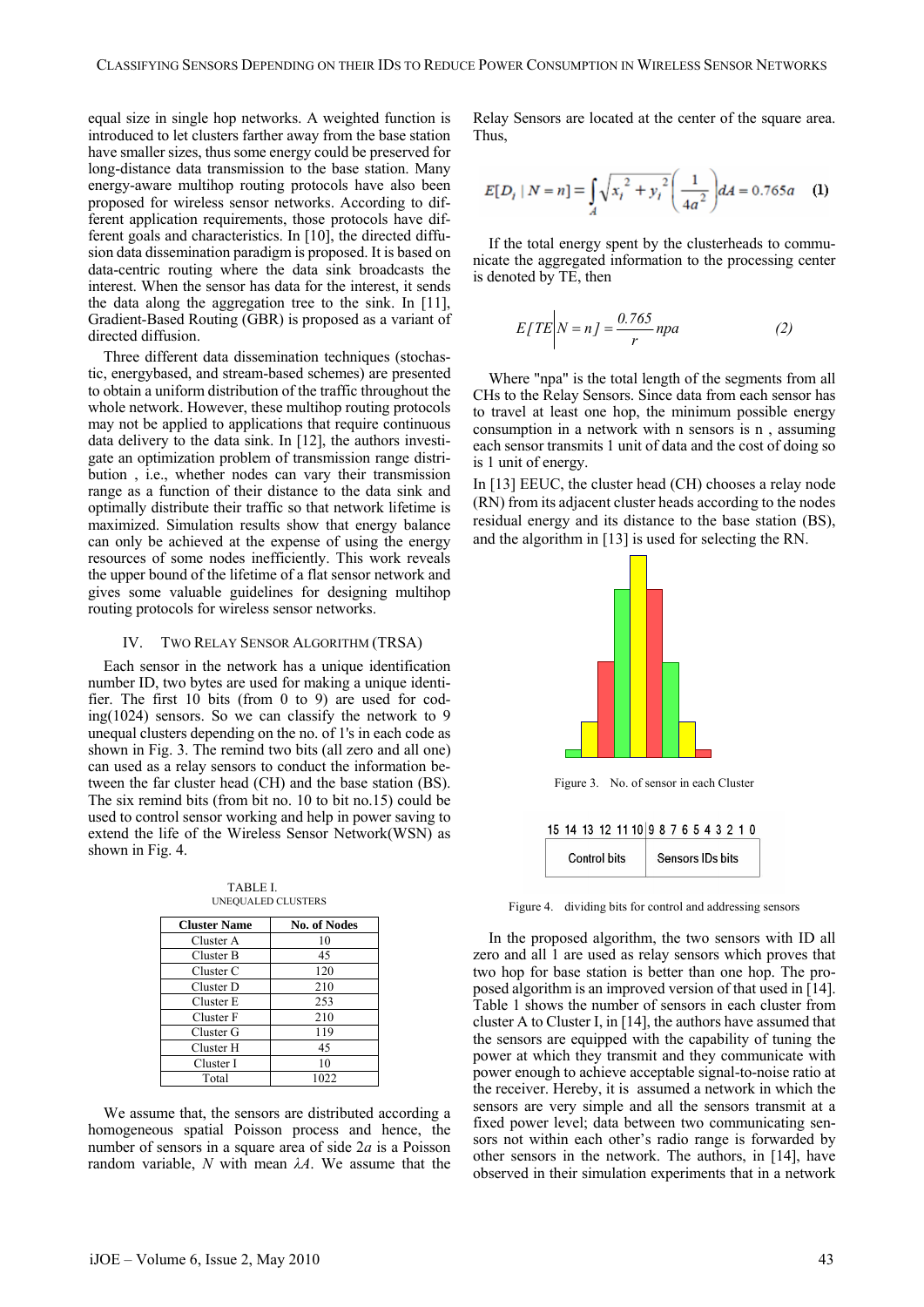equal size in single hop networks. A weighted function is introduced to let clusters farther away from the base station have smaller sizes, thus some energy could be preserved for long-distance data transmission to the base station. Many energy-aware multihop routing protocols have also been proposed for wireless sensor networks. According to different application requirements, those protocols have different goals and characteristics. In [10], the directed diffusion data dissemination paradigm is proposed. It is based on data-centric routing where the data sink broadcasts the interest. When the sensor has data for the interest, it sends the data along the aggregation tree to the sink. In [11], Gradient-Based Routing (GBR) is proposed as a variant of directed diffusion.

Three different data dissemination techniques (stochastic, energybased, and stream-based schemes) are presented to obtain a uniform distribution of the traffic throughout the whole network. However, these multihop routing protocols may not be applied to applications that require continuous data delivery to the data sink. In [12], the authors investigate an optimization problem of transmission range distribution , i.e., whether nodes can vary their transmission range as a function of their distance to the data sink and optimally distribute their traffic so that network lifetime is maximized. Simulation results show that energy balance can only be achieved at the expense of using the energy resources of some nodes inefficiently. This work reveals the upper bound of the lifetime of a flat sensor network and gives some valuable guidelines for designing multihop routing protocols for wireless sensor networks.

#### IV. TWO RELAY SENSOR ALGORITHM (TRSA)

Each sensor in the network has a unique identification number ID, two bytes are used for making a unique identifier. The first 10 bits (from 0 to 9) are used for coding(1024) sensors. So we can classify the network to 9 unequal clusters depending on the no. of 1's in each code as shown in Fig. 3. The remind two bits (all zero and all one) can used as a relay sensors to conduct the information between the far cluster head (CH) and the base station (BS). The six remind bits (from bit no. 10 to bit no.15) could be used to control sensor working and help in power saving to extend the life of the Wireless Sensor Network(WSN) as shown in Fig. 4.

| <b>Cluster Name</b> | <b>No. of Nodes</b> |
|---------------------|---------------------|
| Cluster A           | 10                  |
| Cluster B           | 45                  |
| Cluster C           | 120                 |
| Cluster D           | 210                 |
| Cluster E           | 253                 |
| Cluster F           | 210                 |
| Cluster G           | 119                 |
| Cluster H           | 45                  |
| Cluster I           | 10                  |
| Total               | 1022                |

TABLE I. UNEQUALED CLUSTERS

We assume that, the sensors are distributed according a homogeneous spatial Poisson process and hence, the number of sensors in a square area of side 2*a* is a Poisson random variable, *N* with mean *λA*. We assume that the

Relay Sensors are located at the center of the square area. Thus,

$$
E[D_i \mid N = n] = \int_A \sqrt{x_i^2 + y_i^2} \left(\frac{1}{4a^2}\right) dA = 0.765a \quad (1)
$$

If the total energy spent by the clusterheads to communicate the aggregated information to the processing center is denoted by TE, then

$$
E\{TE\bigg|N=n\} = \frac{0.765}{r} npa \tag{2}
$$

Where "npa" is the total length of the segments from all CHs to the Relay Sensors. Since data from each sensor has to travel at least one hop, the minimum possible energy consumption in a network with n sensors is n , assuming each sensor transmits 1 unit of data and the cost of doing so is 1 unit of energy.

In [13] EEUC, the cluster head (CH) chooses a relay node (RN) from its adjacent cluster heads according to the nodes residual energy and its distance to the base station (BS), and the algorithm in [13] is used for selecting the RN.



Figure 3. No. of sensor in each Cluster

15 14 13 12 11 10 9 8 7 6 5 4 3 2 1 0 **Control bits** Sensors IDs bits

Figure 4. dividing bits for control and addressing sensors

In the proposed algorithm, the two sensors with ID all zero and all 1 are used as relay sensors which proves that two hop for base station is better than one hop. The proposed algorithm is an improved version of that used in [14]. Table 1 shows the number of sensors in each cluster from cluster A to Cluster I, in [14], the authors have assumed that the sensors are equipped with the capability of tuning the power at which they transmit and they communicate with power enough to achieve acceptable signal-to-noise ratio at the receiver. Hereby, it is assumed a network in which the sensors are very simple and all the sensors transmit at a fixed power level; data between two communicating sensors not within each other's radio range is forwarded by other sensors in the network. The authors, in [14], have observed in their simulation experiments that in a network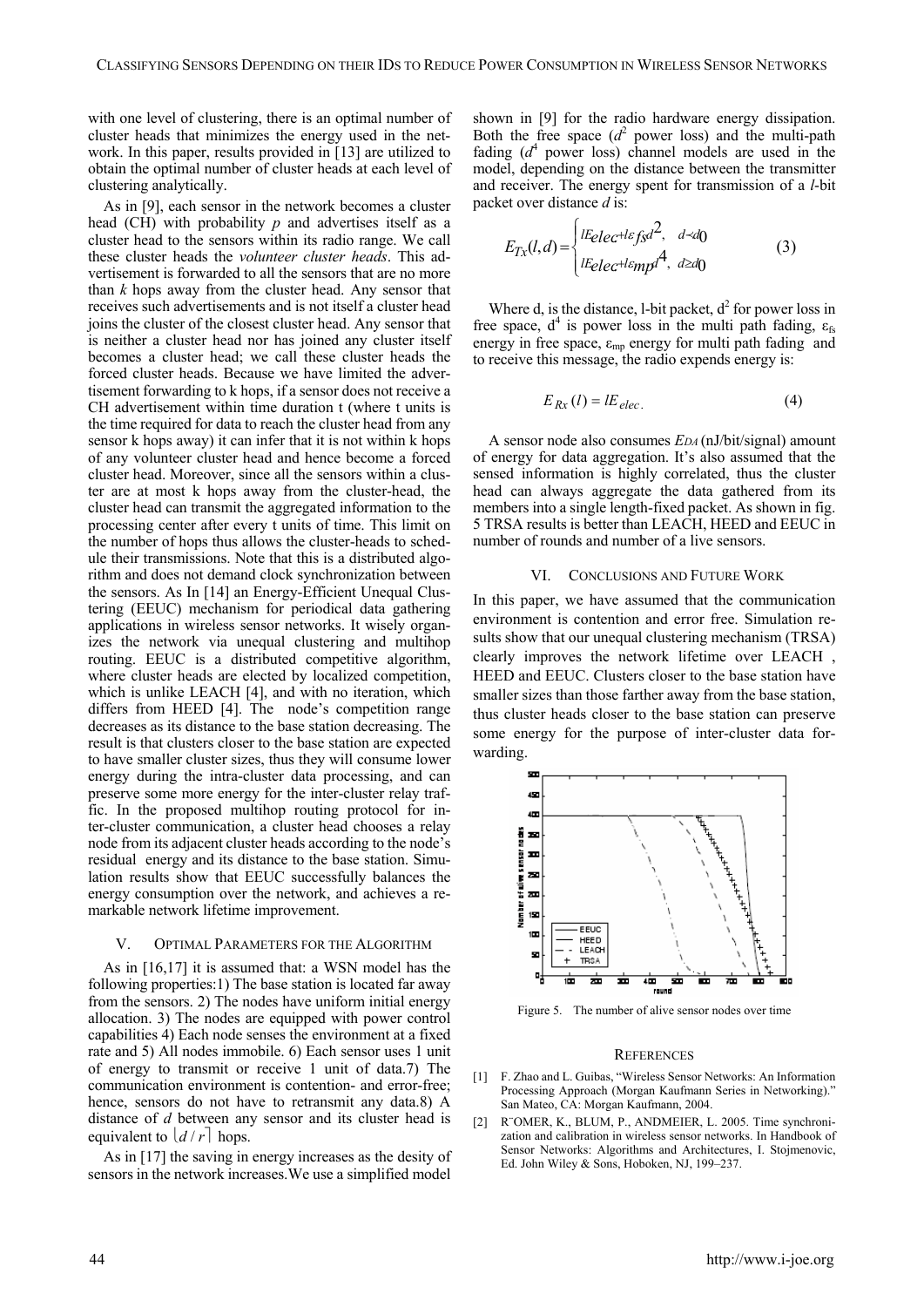with one level of clustering, there is an optimal number of cluster heads that minimizes the energy used in the network. In this paper, results provided in [13] are utilized to obtain the optimal number of cluster heads at each level of clustering analytically.

As in [9], each sensor in the network becomes a cluster head (CH) with probability *p* and advertises itself as a cluster head to the sensors within its radio range. We call these cluster heads the *volunteer cluster heads*. This advertisement is forwarded to all the sensors that are no more than *k* hops away from the cluster head. Any sensor that receives such advertisements and is not itself a cluster head joins the cluster of the closest cluster head. Any sensor that is neither a cluster head nor has joined any cluster itself becomes a cluster head; we call these cluster heads the forced cluster heads. Because we have limited the advertisement forwarding to k hops, if a sensor does not receive a CH advertisement within time duration t (where t units is the time required for data to reach the cluster head from any sensor k hops away) it can infer that it is not within k hops of any volunteer cluster head and hence become a forced cluster head. Moreover, since all the sensors within a cluster are at most k hops away from the cluster-head, the cluster head can transmit the aggregated information to the processing center after every t units of time. This limit on the number of hops thus allows the cluster-heads to schedule their transmissions. Note that this is a distributed algorithm and does not demand clock synchronization between the sensors. As In [14] an Energy-Efficient Unequal Clustering (EEUC) mechanism for periodical data gathering applications in wireless sensor networks. It wisely organizes the network via unequal clustering and multihop routing. EEUC is a distributed competitive algorithm, where cluster heads are elected by localized competition, which is unlike LEACH [4], and with no iteration, which differs from HEED [4]. The node's competition range decreases as its distance to the base station decreasing. The result is that clusters closer to the base station are expected to have smaller cluster sizes, thus they will consume lower energy during the intra-cluster data processing, and can preserve some more energy for the inter-cluster relay traffic. In the proposed multihop routing protocol for inter-cluster communication, a cluster head chooses a relay node from its adjacent cluster heads according to the node's residual energy and its distance to the base station. Simulation results show that EEUC successfully balances the energy consumption over the network, and achieves a remarkable network lifetime improvement.

## V. OPTIMAL PARAMETERS FOR THE ALGORITHM

As in [16,17] it is assumed that: a WSN model has the following properties:1) The base station is located far away from the sensors. 2) The nodes have uniform initial energy allocation. 3) The nodes are equipped with power control capabilities 4) Each node senses the environment at a fixed rate and 5) All nodes immobile. 6) Each sensor uses 1 unit of energy to transmit or receive 1 unit of data.7) The communication environment is contention- and error-free; hence, sensors do not have to retransmit any data.8) A distance of *d* between any sensor and its cluster head is equivalent to  $\lfloor d/r \rfloor$  hops.

As in [17] the saving in energy increases as the desity of sensors in the network increases.We use a simplified model shown in [9] for the radio hardware energy dissipation. Both the free space  $(d^2)$  power loss) and the multi-path fading  $(d<sup>4</sup>$  power loss) channel models are used in the model, depending on the distance between the transmitter and receiver. The energy spent for transmission of a *l*-bit packet over distance *d* is:

$$
E_{Tx}(l,d) = \begin{cases} lE_{elec} + l\varepsilon_{fs}d^2, & d \prec d_0 \\ lE_{elec} + l\varepsilon_{mp}d^4, & d \ge d_0 \end{cases}
$$
 (3)

Where d, is the distance, l-bit packet,  $d^2$  for power loss in free space,  $d^4$  is power loss in the multi path fading,  $\varepsilon_{fs}$ energy in free space,  $\varepsilon_{mp}$  energy for multi path fading and to receive this message, the radio expends energy is:

$$
E_{Rx}(l) = lE_{elec.}
$$
 (4)

A sensor node also consumes *EDA* (nJ/bit/signal) amount of energy for data aggregation. It's also assumed that the sensed information is highly correlated, thus the cluster head can always aggregate the data gathered from its members into a single length-fixed packet. As shown in fig. 5 TRSA results is better than LEACH, HEED and EEUC in number of rounds and number of a live sensors.

## VI. CONCLUSIONS AND FUTURE WORK

In this paper, we have assumed that the communication environment is contention and error free. Simulation results show that our unequal clustering mechanism (TRSA) clearly improves the network lifetime over LEACH , HEED and EEUC. Clusters closer to the base station have smaller sizes than those farther away from the base station, thus cluster heads closer to the base station can preserve some energy for the purpose of inter-cluster data forwarding.



Figure 5. The number of alive sensor nodes over time

#### **REFERENCES**

- [1] F. Zhao and L. Guibas, "Wireless Sensor Networks: An Information Processing Approach (Morgan Kaufmann Series in Networking)." San Mateo, CA: Morgan Kaufmann, 2004.
- [2] R¨OMER, K., BLUM, P., ANDMEIER, L. 2005. Time synchronization and calibration in wireless sensor networks. In Handbook of Sensor Networks: Algorithms and Architectures, I. Stojmenovic, Ed. John Wiley & Sons, Hoboken, NJ, 199–237.